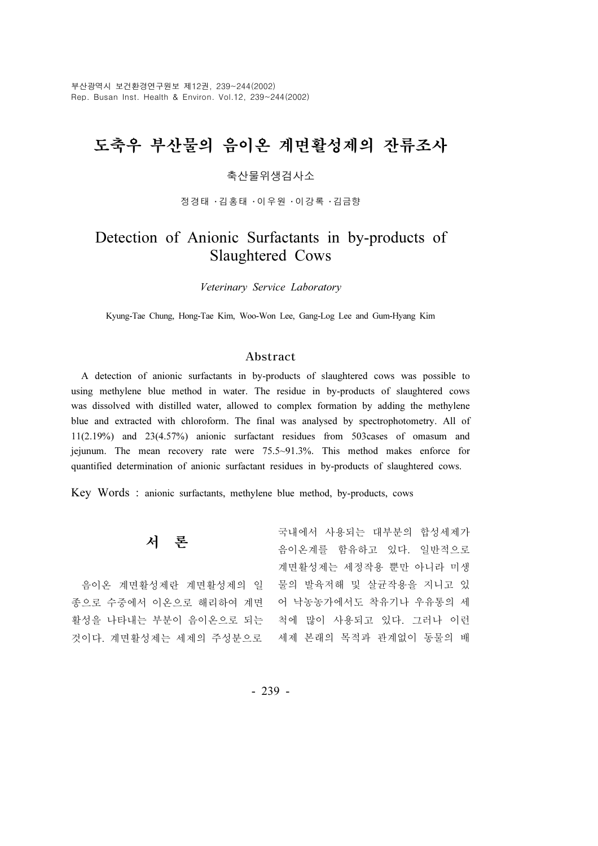부산광역시 보건환경연구원보 제12권, 239~244(2002) Rep. Busan Inst. Health & Environ. Vol.12, 239~244(2002)

# 도축우 부산물의 음이온 계면활성제의 잔류조사

# 축산물위생검사소

정경태 ・김홍태 ・이우원 ・이강록 ・김금향

# Detection of Anionic Surfactants in by-products of Slaughtered Cows

Veterinary Service Laboratory

Kyung-Tae Chung, Hong-Tae Kim, Woo-Won Lee, Gang-Log Lee and Gum-Hyang Kim

## Abstract

A detection of anionic surfactants in by-products of slaughtered cows was possible to using methylene blue method in water. The residue in by-products of slaughtered cows was dissolved with distilled water, allowed to complex formation by adding the methylene blue and extracted with chloroform. The final was analysed by spectrophotometry. All of 11(2.19%) and 23(4.57%) anionic surfactant residues from 503cases of omasum and jejunum. The mean recovery rate were 75.5~91.3%. This method makes enforce for quantified determination of anionic surfactant residues in by-products of slaughtered cows.

Key Words : anionic surfactants, methylene blue method, by-products, cows

| 서 론                   | 국내에서 사용되는 대부분의 합성세제가  |
|-----------------------|-----------------------|
|                       | 음이온계를 함유하고 있다. 일반적으로  |
|                       | 계면활성제는 세정작용 뿐만 아니라 미생 |
| 음이온 계면활성제란 계면활성제의 일   | 물의 발육저해 및 살균작용을 지니고 있 |
| 종으로 수중에서 이온으로 해리하여 계면 | 어 낙농농가에서도 착유기나 우유통의 세 |
| 활성을 나타내는 부분이 음이온으로 되는 | 척에 많이 사용되고 있다. 그러나 이런 |
| 것이다. 계면활성제는 세제의 주성분으로 | 세제 본래의 목적과 관계없이 동물의 배 |
|                       |                       |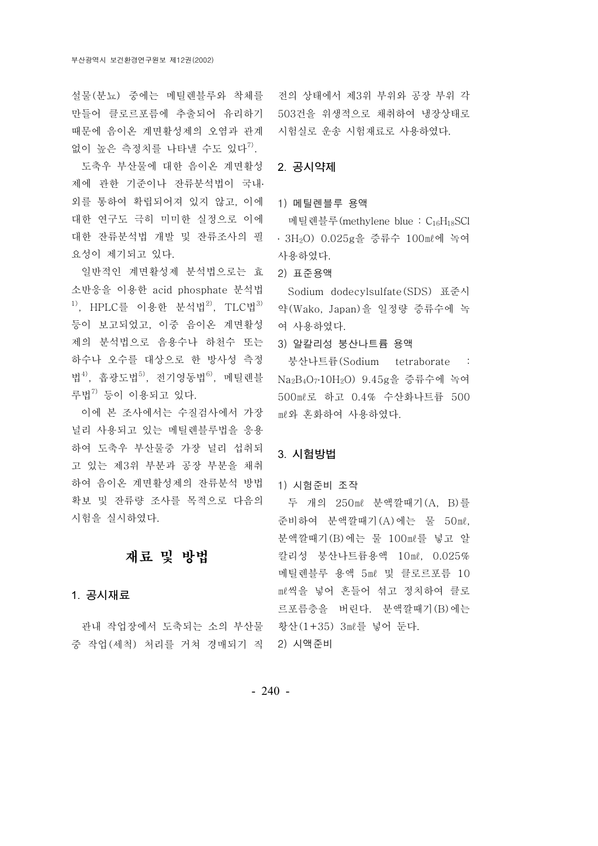만들어 클로르포름에 추출되어 유리하기 503건을 위생적으로 채취하여 냉장상태로 때문에 음이온 계면활성제의 오염과 관계 없이 높은 측정치를 나타낼 수도 있다 $^{7}$ .

도축우 부산물에 대한 음이온 계면활성 2. 공시약제 제에 관한 기준이나 잔류분석법이 국내․ 외를 통하여 확립되어져 있지 않고, 이에 대한 연구도 극히 미미한 실정으로 이에 대한 잔류분석법 개발 및 잔류조사의 필 요성이 제기되고 있다.

일반적인 계면활성제 분석법으로는 효 소반응을 이용한 acid phosphate 분석법  $1)$ , HPLC를 이용한 분석법 $2)$ , TLC법 $3)$ 등이 보고되었고, 이중 음이온 계면활성 제의 분석법으로 음용수나 하천수 또는 하수나 오수를 대상으로 한 방사성 측정 법<sup>4)</sup>, 흡광도법<sup>5)</sup>, 전기영동법<sup>6)</sup>, 메틸렌블 루법7) 등이 이용되고 있다.

이에 본 조사에서는 수질검사에서 가장 널리 사용되고 있는 메틸렌블루법을 응용 하여 도축우 부산물중 가장 널리 섭취되 고 있는 제3위 부분과 공장 부분을 채취 하여 음이온 계면활성제의 잔류분석 방법 확보 및 잔류량 조사를 목적으로 다음의 시험을 실시하였다.

# 재료 및 방법

# 1. 공시재료

관내 작업장에서 도축되는 소의 부산물 황산(1+35) 3ml를 넣어 둔다. 중 작업 (세척) 처리를 거쳐 경매되기 직 2) 시액준비

설물 (분뇨) 중에는 메틸렌블루와 착체를 전의 상태에서 제3위 부위와 공장 부위 각 시험실로 운송 시험재료로 사용하였다.

### 1) 메틸렌블루 용액

메틸렌블루(methylene blue : C<sub>16</sub>H<sub>18</sub>SCl ㆍ 3H<sub>2</sub>O) 0.025g을 증류수 100 {{이 녹여 사용하였다.

2) 표준용액

Sodium dodecylsulfate(SDS) 표준시 약 (Wako, Japan)을 일정량 증류수에 녹 여 사용하였다.

3) 알칼리성 붕산나트륨 용액

붕산나트륨(Sodium tetraborate : Na2B4O7․10H2O) 9.45g을 증류수에 녹여 500ml로 하고 0.4% 수산화나트륨 500 ㎖와 혼화하여 사용하였다.

# 3. 시험방법

### 1) 시험준비 조작

두 개의 250ml 분액깔때기 (A, B)를 준비하여 분액깔때기 (A) 에는 물 50ml, 분액깔때기 (B) 에는 물 100ml를 넣고 알 칼리성 붕산나트륨용액 10ml, 0.025% 메틸렌블루 용액 5ml 및 클로르포름 10 ㎖씩을 넣어 흔들어 섞고 정치하여 클로 르포름층을 버린다. 분액깔때기 (B)에는

- 240 -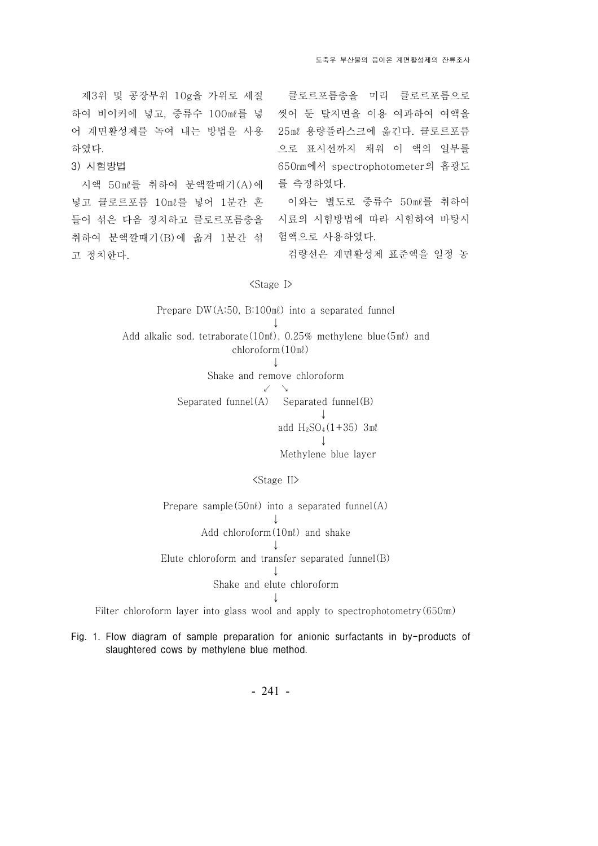제3위 및 공장부위 10g을 가위로 세절 하여 비이커에 넣고, 증류수 100ml를 넣 어 계면활성제를 녹여 내는 방법을 사용 하였다.

3) 시험방법

시액 50ml를 취하여 분액깔때기 (A)에 넣고 클로르포름 10ml를 넣어 1분간 흔 들어 섞은 다음 정치하고 클로르포름층을 취하여 분액깔때기 (B)에 옮겨 1분간 섞 고 정치한다.

클로르포름층을 미리 클로르포름으로 씻어 둔 탈지면을 이용 여과하여 여액을 25ml 용량플라스크에 옮긴다. 클로르포름 으로 표시선까지 채워 이 액의 일부를 650nm에서 spectrophotometer의 흡광도 를 측정하였다.

이와는 별도로 증류수 50ml를 취하여 시료의 시험방법에 따라 시험하여 바탕시 험액으로 사용하였다.

검량선은 계면활성제 표준액을 일정 농

### <Stage I>

Prepare  $DW(A:50, B:100m\ell)$  into a separated funnel ↓ Add alkalic sod. tetraborate( $10 \text{m}l$ ),  $0.25\%$  methylene blue( $5 \text{m}l$ ) and  $chloroform(10 m\ell)$ ↓ Shake and remove chloroform ↙ ↘ Separated funnel(A) Separated funnel(B) ↓ add  $H_2SO_4(1+35)$  3ml ↓ Methylene blue layer

### <Stage II>

Prepare sample( $50$ m $\ell$ ) into a separated funnel(A) ↓ Add chloroform $(10 \text{m}\ell)$  and shake ↓ Elute chloroform and transfer separated funnel(B) ↓ Shake and elute chloroform ↓

Filter chloroform layer into glass wool and apply to spectrophotometry  $(650<sub>nm</sub>)$ 

Fig. 1. Flow diagram of sample preparation for anionic surfactants in by-products of slaughtered cows by methylene blue method.

- 241 -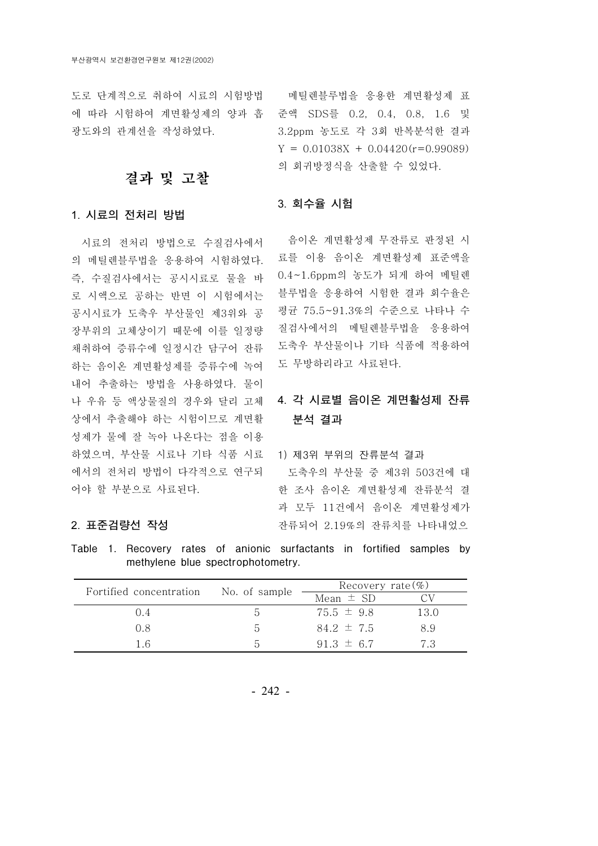도로 단계적으로 취하여 시료의 시험방법 메틸렌블루법을 응용한 계면활성제 표 에 따라 시험하여 계면활성제의 양과 흡 준액 SDS를 0.2, 0.4, 0.8, 1.6 및 광도와의 관계선을 작성하였다.

# 결과 및 고찰

# 1. 시료의 전처리 방법

시료의 전처리 방법으로 수질검사에서 의 메틸렌블루법을 응용하여 시험하였다. 즉, 수질검사에서는 공시시료로 물을 바 로 시액으로 공하는 반면 이 시험에서는 공시시료가 도축우 부산물인 제3위와 공 장부위의 고체상이기 때문에 이를 일정량 채취하여 증류수에 일정시간 담구어 잔류 하는 음이온 계면활성제를 증류수에 녹여 내어 추출하는 방법을 사용하였다. 물이 나 우유 등 액상물질의 경우와 달리 고체 상에서 추출해야 하는 시험이므로 계면활 성제가 물에 잘 녹아 나온다는 점을 이용 하였으며, 부산물 시료나 기타 식품 시료 에서의 전처리 방법이 다각적으로 연구되 어야 할 부분으로 사료된다.

### 2. 표준검량선 작성

3.2ppm 농도로 각 3회 반복분석한 결과  $Y = 0.01038X + 0.04420(r=0.99089)$ 의 회귀방정식을 산출할 수 있었다.

### 3. 회수율 시험

음이온 계면활성제 무잔류로 판정된 시 료를 이용 음이온 계면활성제 표준액을 0.4~1.6ppm의 농도가 되게 하여 메틸렌 블루법을 응용하여 시험한 결과 회수율은 평균 75.5~91.3%의 수준으로 나타나 수 질검사에서의 메틸렌블루법을 응용하여 도축우 부산물이나 기타 식품에 적용하여 도 무방하리라고 사료된다.

# 4. 각 시료별 음이온 계면활성제 잔류 분석 결과

1) 제3위 부위의 잔류분석 결과 도축우의 부산물 중 제3위 503건에 대 한 조사 음이온 계면활성제 잔류분석 결 과 모두 11건에서 음이온 계면활성제가 잔류되어 2.19%의 잔류치를 나타내었으

Table 1. Recovery rates of anionic surfactants in fortified samples by methylene blue spectrophotometry.

| Fortified concentration | No. of sample | Recovery rate $(\%)$ |      |
|-------------------------|---------------|----------------------|------|
|                         |               | Mean $\pm$ SD        |      |
| ()4                     |               | $75.5 \pm 9.8$       | 13.0 |
| 0.8                     | h             | $84.2 \pm 7.5$       | 8.9  |
| 16                      | $\Delta$      | $91.3 \pm 6.7$       | 73   |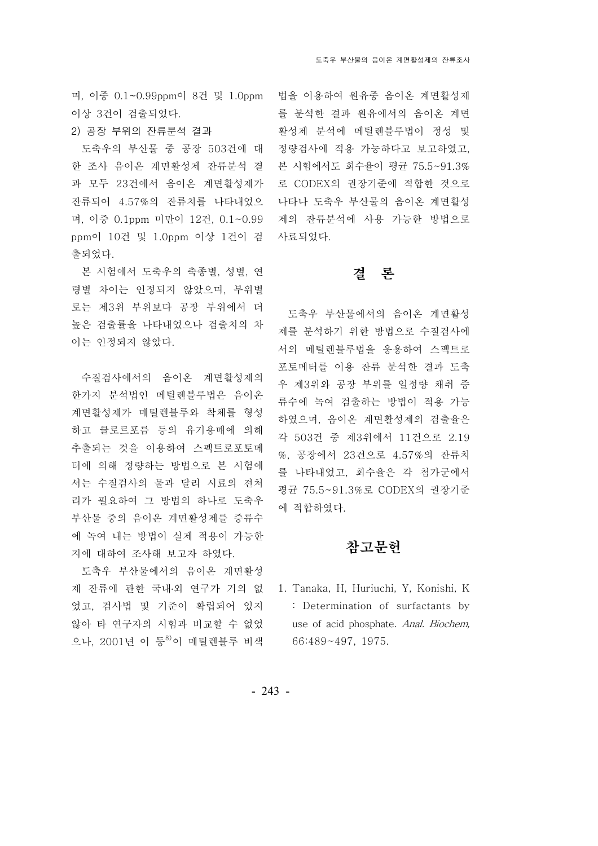이상 3건이 검출되었다.

# 2) 공장 부위의 잔류분석 결과

도축우의 부산물 중 공장 503건에 대 한 조사 음이온 계면활성제 잔류분석 결 과 모두 23건에서 음이온 계면활성제가 잔류되어 4.57%의 잔류치를 나타내었으 며, 이중 0.1ppm 미만이 12건, 0.1~0.99 제의 잔류분석에 사용 가능한 방법으로 ppm이 10건 및 1.0ppm 이상 1건이 검 사료되었다. 출되었다.

본 시험에서 도축우의 축종별, 성별, 연 령별 차이는 인정되지 않았으며, 부위별 로는 제3위 부위보다 공장 부위에서 더 높은 검출률을 나타내었으나 검출치의 차 이는 인정되지 않았다.

수질검사에서의 음이온 계면활성제의 한가지 분석법인 메틸렌블루법은 음이온 계면활성제가 메틸렌블루와 착체를 형성 하고 클로르포름 등의 유기용매에 의해 추출되는 것을 이용하여 스펙트로포토메 터에 의해 정량하는 방법으로 본 시험에 서는 수질검사의 물과 달리 시료의 전처 리가 필요하여 그 방법의 하나로 도축우 부산물 중의 음이온 계면활성제를 증류수 에 녹여 내는 방법이 실제 적용이 가능한 지에 대하여 조사해 보고자 하였다.

도축우 부산물에서의 음이온 계면활성 제 잔류에 관한 국내·외 연구가 거의 없 1. Tanaka, H, Huriuchi, Y, Konishi, K 었고, 검사법 및 기준이 확립되어 있지 않아 타 연구자의 시험과 비교할 수 없었 으나, 2001년 이 등 이 메틸렌블루 비색

며, 이중 0.1~0.99ppm이 8건 및 1.0ppm 법을 이용하여 원유중 음이온 계면활성제 를 분석한 결과 원유에서의 음이온 계면 활성제 분석에 메틸렌블루법이 정성 및 정량검사에 적용 가능하다고 보고하였고, 본 시험에서도 회수율이 평균 75.5~91.3% 로 CODEX의 권장기준에 적합한 것으로 나타나 도축우 부산물의 음이온 계면활성

# 결 론

도축우 부산물에서의 음이온 계면활성 제를 분석하기 위한 방법으로 수질검사에 서의 메틸렌블루법을 응용하여 스펙트로 포토메터를 이용 잔류 분석한 결과 도축 우 제 3위와 공장 부위를 일정량 채취 증 류수에 녹여 검출하는 방법이 적용 가능 하였으며, 음이온 계면활성제의 검출율은 각 503건 중 제3위에서 11건으로 2.19 %, 23 4.57% 공장에서 건으로 의 잔류치 를 나타내었고, 회수율은 각 첨가군에서 평균 75.5~91.3%로 CODEX의 권장기준 에 적합하였다.

# 참고문헌

: Determination of surfactants by use of acid phosphate. Anal. Biochem, 66:489~497, 1975.